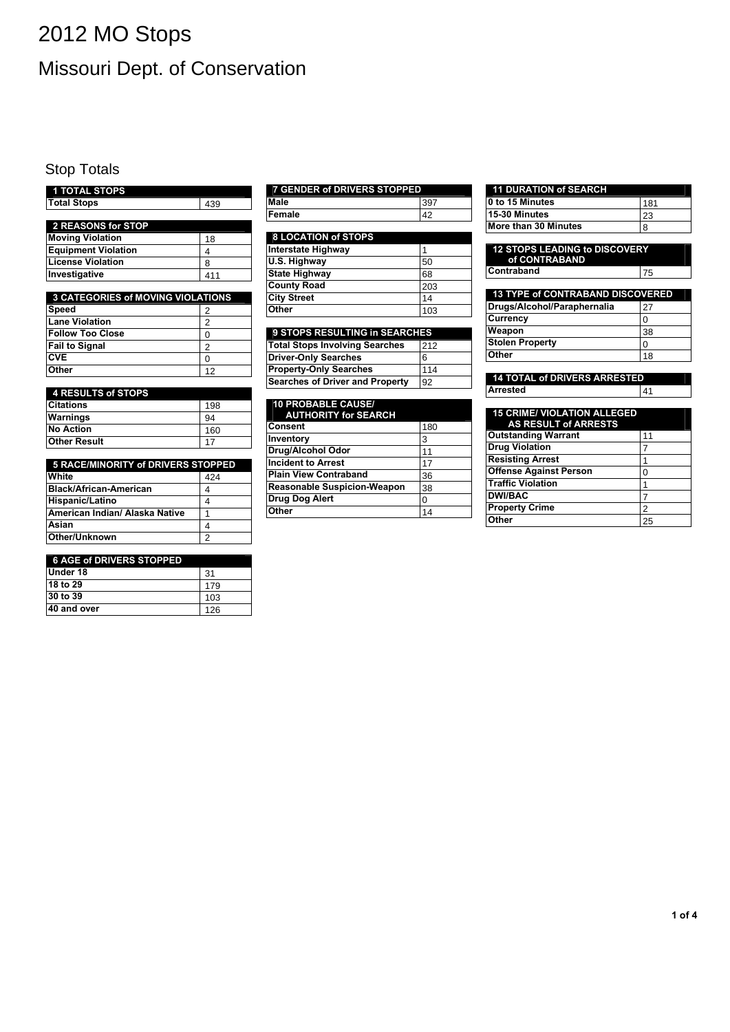# 2012 MO Stops Missouri Dept. of Conservation

### Stop Totals

| <b>1 TOTAL STOPS</b>                     |     |
|------------------------------------------|-----|
| <b>Total Stops</b>                       | 439 |
|                                          |     |
| 2 REASONS for STOP                       |     |
| <b>Moving Violation</b>                  | 18  |
| <b>Equipment Violation</b>               | 4   |
| <b>License Violation</b>                 | 8   |
| Investigative                            | 411 |
|                                          |     |
| <b>3 CATEGORIES of MOVING VIOLATIONS</b> |     |
| Speed                                    | 2   |
| <b>Lane Violation</b>                    | 2   |
| <b>Follow Too Close</b>                  | 0   |
| <b>Fail to Signal</b>                    | 2   |
| <b>CVE</b>                               | 0   |
| Other                                    | 12  |

| 4 RESULTS of STOPS  |     |
|---------------------|-----|
| <b>Citations</b>    | 198 |
| <b>Warnings</b>     | 94  |
| <b>No Action</b>    | 160 |
| <b>Other Result</b> |     |

| 5 RACE/MINORITY of DRIVERS STOPPED |     |
|------------------------------------|-----|
| White                              | 424 |
| <b>Black/African-American</b>      |     |
| Hispanic/Latino                    |     |
| lAmerican Indian/ Alaska Native    |     |
| Asian                              |     |
| Other/Unknown                      | 2   |

#### 6 AGE of DRIVERS STOPPED

| Under 18    | 31  |
|-------------|-----|
| 18 to 29    | 179 |
| 30 to 39    | 103 |
| 40 and over | 126 |

| 7 GENDER of DRIVERS STOPPED |     |
|-----------------------------|-----|
| Male                        | 397 |
| Female                      |     |

#### 8 LOCATION of STOPS

| l Female                   | 42  |
|----------------------------|-----|
|                            |     |
| <b>8 LOCATION of STOPS</b> |     |
| Interstate Highway         |     |
| U.S. Highway               | 50  |
| State Highway              | 68  |
| <b>County Road</b>         | 203 |
| <b>City Street</b>         | 14  |
| <b>Other</b>               | 103 |

| 9 STOPS RESULTING in SEARCHES         |     |
|---------------------------------------|-----|
| <b>Total Stops Involving Searches</b> | 212 |
| <b>Driver-Only Searches</b>           | 6   |
| <b>Property-Only Searches</b>         | 114 |
| Searches of Driver and Property       | 92  |

| <b>10 PROBABLE CAUSE/</b><br><b>AUTHORITY for SEARCH</b> |     |
|----------------------------------------------------------|-----|
| Consent                                                  | 180 |
| Inventory                                                | 3   |
| Drug/Alcohol Odor                                        | 11  |
| <b>Incident to Arrest</b>                                | 17  |
| <b>Plain View Contraband</b>                             | 36  |
| <b>Reasonable Suspicion-Weapon</b>                       | 38  |
| Drug Dog Alert                                           | 0   |
| <b>Other</b>                                             | 14  |

| <b>11 DURATION of SEARCH</b> |     |
|------------------------------|-----|
| 10 to 15 Minutes             | 181 |
| 15-30 Minutes                | 23  |
| More than 30 Minutes         | 8   |

| <b>12 STOPS LEADING to DISCOVERY</b><br>of CONTRABAND |    |
|-------------------------------------------------------|----|
| <b>Contraband</b>                                     | 75 |
|                                                       |    |
| <b>13 TYPE of CONTRABAND DISCOVERED</b>               |    |
| Drugs/Alcohol/Paraphernalia                           | 27 |
| <b>Currency</b>                                       | 0  |
| Weapon                                                | 38 |
| <b>Stolen Property</b>                                | O  |
| Other                                                 | 18 |
|                                                       |    |

| <b>14 TOTAL of DRIVERS ARRESTED</b> |      |
|-------------------------------------|------|
| <b>Arrested</b>                     | I 41 |

| <b>15 CRIME/ VIOLATION ALLEGED</b><br><b>AS RESULT of ARRESTS</b> |    |
|-------------------------------------------------------------------|----|
| <b>Outstanding Warrant</b>                                        | 11 |
| <b>Drug Violation</b>                                             |    |
| <b>Resisting Arrest</b>                                           |    |
| <b>Offense Against Person</b>                                     | 0  |
| <b>Traffic Violation</b>                                          |    |
| <b>DWI/BAC</b>                                                    |    |
| <b>Property Crime</b>                                             | 2  |
| Other                                                             | 25 |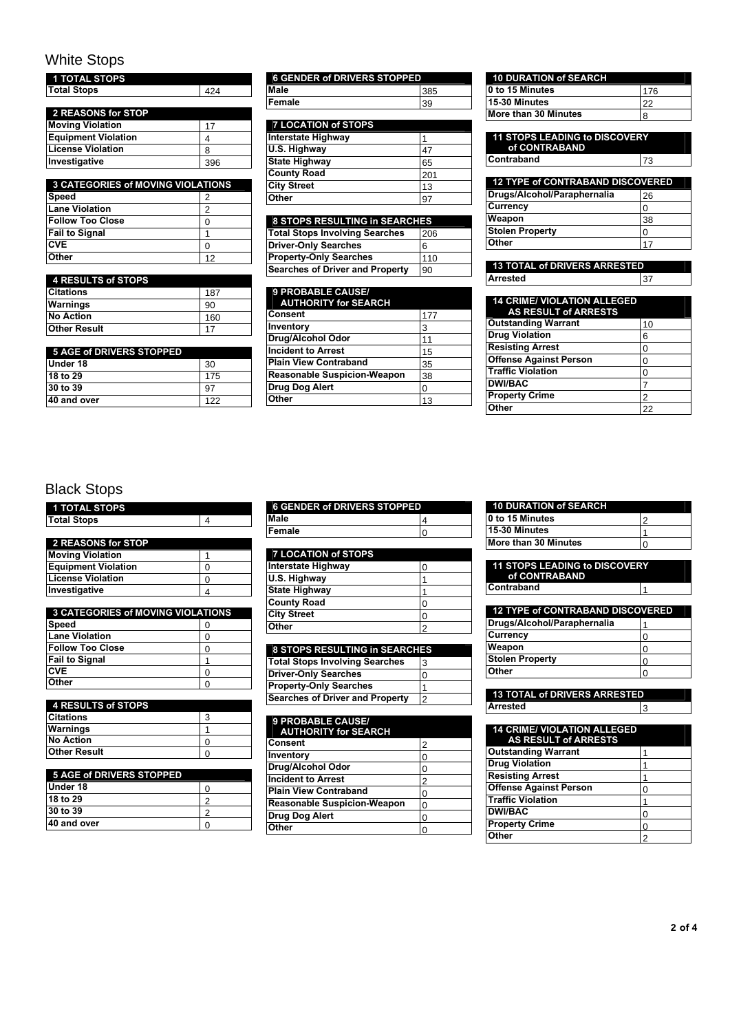# White Stops

| <b>1 TOTAL STOPS</b>       |     |
|----------------------------|-----|
| <b>Total Stops</b>         | 424 |
|                            |     |
| 2 REASONS for STOP         |     |
| <b>Moving Violation</b>    | 17  |
| <b>Equipment Violation</b> |     |
| License Violation          | 8   |
| Investigative              | 396 |
|                            |     |

| <b>3 CATEGORIES of MOVING VIOLATIONS</b> |    |  |
|------------------------------------------|----|--|
| Speed                                    | 2  |  |
| <b>Lane Violation</b>                    | 2  |  |
| <b>Follow Too Close</b>                  |    |  |
| <b>Fail to Signal</b>                    |    |  |
| <b>CVE</b>                               |    |  |
| <b>Other</b>                             | 12 |  |

| 4 RESULTS of STOPS  |     |
|---------------------|-----|
| <b>Citations</b>    | 187 |
| <b>Warnings</b>     | 90  |
| <b>No Action</b>    | 160 |
| <b>Other Result</b> |     |

| <b>5 AGE of DRIVERS STOPPED</b> |     |
|---------------------------------|-----|
| Under 18                        | 30  |
| 18 to 29                        | 175 |
| 30 to 39                        | 97  |
| 40 and over                     | 122 |

| <b>6 GENDER of DRIVERS STOPPED</b> |     |
|------------------------------------|-----|
| <b>Male</b>                        | 385 |
| Female                             | 39  |
|                                    |     |

| l Female                   | 39  |
|----------------------------|-----|
|                            |     |
| <b>7 LOCATION of STOPS</b> |     |
| Interstate Highway         |     |
| U.S. Highway               | 47  |
| <b>State Highway</b>       | 65  |
| <b>County Road</b>         | 201 |
| <b>City Street</b>         | 13  |
| Other                      | 97  |
|                            |     |

| 8 STOPS RESULTING in SEARCHES          |     |  |
|----------------------------------------|-----|--|
| Total Stops Involving Searches         | 206 |  |
| <b>Driver-Only Searches</b>            | 6   |  |
| <b>Property-Only Searches</b>          | 110 |  |
| <b>Searches of Driver and Property</b> | 90  |  |

| 9 PROBABLE CAUSE/<br><b>AUTHORITY for SEARCH</b> |     |
|--------------------------------------------------|-----|
| Consent                                          | 177 |
| Inventory                                        | 3   |
| Drug/Alcohol Odor                                | 11  |
| <b>Incident to Arrest</b>                        | 15  |
| Plain View Contraband                            | 35  |
| <b>Reasonable Suspicion-Weapon</b>               | 38  |
| Drug Dog Alert                                   | 0   |
| <b>Other</b>                                     | 13  |

| <b>10 DURATION of SEARCH</b> |     |
|------------------------------|-----|
| 0 to 15 Minutes              | 176 |
| 15-30 Minutes                |     |
| More than 30 Minutes         | 8   |

| <b>11 STOPS LEADING to DISCOVERY</b><br>of CONTRABAND |    |  |
|-------------------------------------------------------|----|--|
| <b>Contraband</b>                                     | 73 |  |
| <b>12 TYPE of CONTRABAND DISCOVERED</b>               |    |  |
| Drugs/Alcohol/Paraphernalia                           | 26 |  |
| <b>Currency</b>                                       | ი  |  |
| Weapon                                                | 38 |  |
| <b>Stolen Property</b>                                | ი  |  |
| Other                                                 |    |  |

13 TOTAL of DRIVERS ARRESTED Arrested 37

| <b>14 CRIME/ VIOLATION ALLEGED</b><br><b>AS RESULT of ARRESTS</b> |    |
|-------------------------------------------------------------------|----|
| <b>Outstanding Warrant</b>                                        | 10 |
| <b>Drug Violation</b>                                             | 6  |
| <b>Resisting Arrest</b>                                           | ი  |
| <b>Offense Against Person</b>                                     | ი  |
| <b>Traffic Violation</b>                                          | U  |
| <b>DWI/BAC</b>                                                    |    |
| <b>Property Crime</b>                                             | 2  |
| Other                                                             | つつ |

#### Black Stops

| 1 TOTAL STOPS      |  |
|--------------------|--|
| <b>Total Stops</b> |  |
|                    |  |

| 2 REASONS for STOP         |  |
|----------------------------|--|
| <b>Moving Violation</b>    |  |
| <b>Equipment Violation</b> |  |
| <b>License Violation</b>   |  |
| Investigative              |  |

| Total Stops                              | 4              |
|------------------------------------------|----------------|
|                                          |                |
| 2 REASONS for STOP                       |                |
| <b>Moving Violation</b>                  | 1              |
| <b>Equipment Violation</b>               | 0              |
| <b>License Violation</b>                 | 0              |
| Investigative                            | 4              |
|                                          |                |
| <b>3 CATEGORIES of MOVING VIOLATIONS</b> |                |
| Speed                                    | 0              |
| <b>Lane Violation</b>                    | 0              |
| <b>Follow Too Close</b>                  | 0              |
| Fail to Signal                           | 1              |
| <b>CVE</b>                               | 0              |
| Other                                    | 0              |
|                                          |                |
| <b>4 RESULTS of STOPS</b>                |                |
| <b>Citations</b>                         | 3              |
| Warnings                                 | 1              |
| <b>No Action</b>                         | 0              |
| <b>Other Result</b>                      | 0              |
|                                          |                |
| <b>5 AGE of DRIVERS STOPPED</b>          |                |
| Under 18                                 | 0              |
| 18 to 29                                 | $\overline{c}$ |
| 30 to 39                                 | $\overline{2}$ |
| 40 and over                              | $\Omega$       |

| <b>4 RESULTS of STOPS</b> |  |
|---------------------------|--|
| <b>Citations</b>          |  |
| <b>Warnings</b>           |  |
| <b>No Action</b>          |  |
| <b>Other Result</b>       |  |

| <b>5 AGE of DRIVERS STOPPED</b> |  |
|---------------------------------|--|
| Under 18                        |  |
| 18 to 29                        |  |
| 30 to 39                        |  |
| 40 and over                     |  |

| <b>6 GENDER of DRIVERS STOPPED</b> |  |  |
|------------------------------------|--|--|
| Male                               |  |  |
| Female                             |  |  |

| 7 LOCATION of STOPS  |  |
|----------------------|--|
| Interstate Highway   |  |
| U.S. Highway         |  |
| <b>State Highway</b> |  |
| <b>County Road</b>   |  |

| <b>City Street</b>            |  |
|-------------------------------|--|
| <b>Other</b>                  |  |
|                               |  |
| 8 STOPS RESULTING in SEARCHES |  |

| <b>Total Stops Involving Searches</b>  | l3             |
|----------------------------------------|----------------|
| <b>Driver-Only Searches</b>            | 10             |
| <b>Property-Only Searches</b>          |                |
| <b>Searches of Driver and Property</b> | $\overline{2}$ |

| Male                                   | 4              |
|----------------------------------------|----------------|
| Female                                 | ი              |
|                                        |                |
| <b>7 LOCATION of STOPS</b>             |                |
| <b>Interstate Highway</b>              | 0              |
| U.S. Highway                           | 1              |
| <b>State Highway</b>                   | 1              |
| <b>County Road</b>                     | 0              |
| <b>City Street</b>                     | 0              |
| Other                                  | $\mathfrak{p}$ |
|                                        |                |
| 8 STOPS RESULTING in SEARCHES          |                |
| <b>Total Stops Involving Searches</b>  | 3              |
| <b>Driver-Only Searches</b>            | $\Omega$       |
| <b>Property-Only Searches</b>          | 1              |
| <b>Searches of Driver and Property</b> | $\mathfrak{p}$ |
|                                        |                |
| 9 PROBABLE CAUSE/                      |                |
| <b>AUTHORITY for SEARCH</b><br>Consent |                |
|                                        | 2              |
| Inventory                              | 0              |
| Drug/Alcohol Odor                      | 0              |
| <b>Incident to Arrest</b>              | $\overline{2}$ |
| <b>Plain View Contraband</b>           | 0              |
| <b>Reasonable Suspicion-Weapon</b>     | 0              |
| Drug Dog Alert                         | 0              |
| Other                                  | 0              |

|  | <b>10 DURATION of SEARCH</b> |  |
|--|------------------------------|--|
|  |                              |  |
|  |                              |  |
|  |                              |  |

| 10 to 15 Minutes     |  |
|----------------------|--|
| 15-30 Minutes        |  |
| More than 30 Minutes |  |

| <b>11 STOPS LEADING to DISCOVERY</b><br>of CONTRABAND |  |
|-------------------------------------------------------|--|
| Contraband                                            |  |

| <b>12 TYPE of CONTRABAND DISCOVERED</b> |   |
|-----------------------------------------|---|
| Drugs/Alcohol/Paraphernalia             |   |
| <b>Currency</b>                         | O |
| Weapon                                  | 0 |
| <b>Stolen Property</b>                  | O |
| Other                                   |   |

| <b>0 to 15 MINUTES</b>                  | 2             |
|-----------------------------------------|---------------|
| 15-30 Minutes                           | 1             |
| More than 30 Minutes                    | 0             |
|                                         |               |
| <b>11 STOPS LEADING to DISCOVERY</b>    |               |
| of CONTRABAND                           |               |
| Contraband                              | 1             |
|                                         |               |
| <b>12 TYPE of CONTRABAND DISCOVERED</b> |               |
| Drugs/Alcohol/Paraphernalia             | 1             |
| Currency                                | 0             |
| Weapon                                  | 0             |
| <b>Stolen Property</b>                  | 0             |
| Other                                   | $\Omega$      |
|                                         |               |
| <b>13 TOTAL of DRIVERS ARRESTED</b>     |               |
| <b>Arrested</b>                         | 3             |
|                                         |               |
| <b>14 CRIME/ VIOLATION ALLEGED</b>      |               |
| <b>AS RESULT of ARRESTS</b>             |               |
| <b>Outstanding Warrant</b>              | 1             |
| <b>Drug Violation</b>                   | 1             |
| <b>Resisting Arrest</b>                 | 1             |
| <b>Offense Against Person</b>           | 0             |
| <b>Traffic Violation</b>                | 1             |
| <b>DWI/BAC</b>                          | 0             |
| <b>Property Crime</b>                   | 0             |
| Other                                   | $\mathcal{P}$ |
|                                         |               |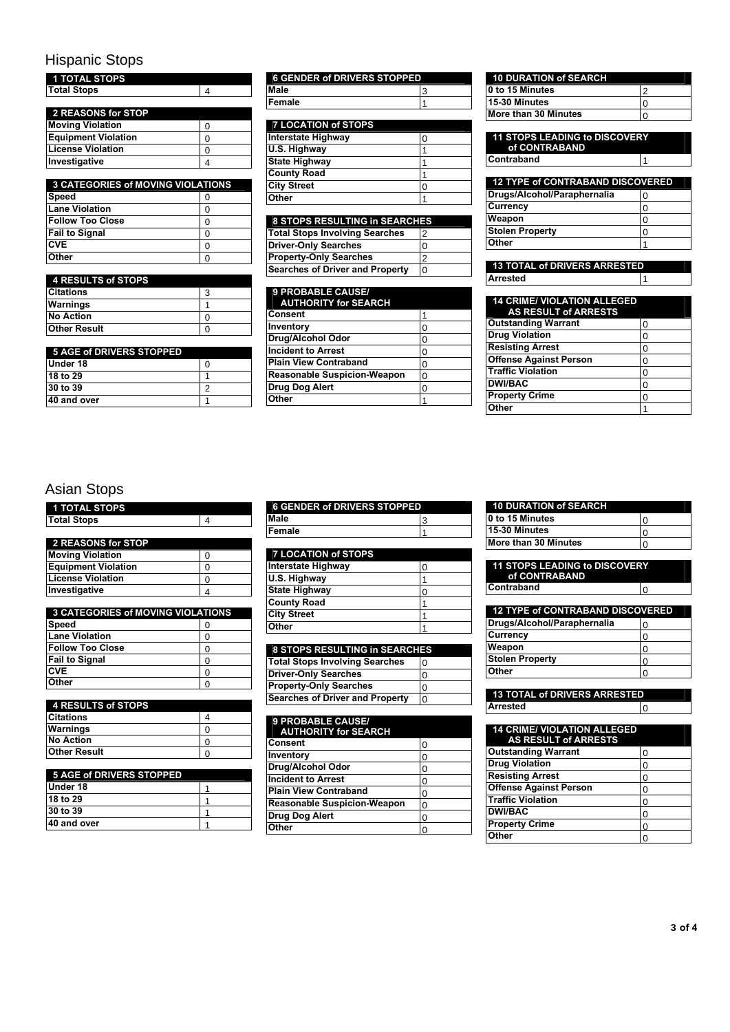# Hispanic Stops

| <b>1 TOTAL STOPS</b>                     |   |
|------------------------------------------|---|
| <b>Total Stops</b>                       | 4 |
|                                          |   |
| 2 REASONS for STOP                       |   |
| <b>Moving Violation</b>                  | 0 |
| <b>Equipment Violation</b>               | 0 |
| <b>License Violation</b>                 | 0 |
| Investigative                            | 4 |
|                                          |   |
| <b>3 CATEGORIES of MOVING VIOLATIONS</b> |   |
| Speed                                    | 0 |
| <b>Lane Violation</b>                    | 0 |
| <b>Follow Too Close</b>                  | 0 |
| <b>Fail to Signal</b>                    | 0 |
| <b>CVE</b>                               | 0 |
| Other                                    | 0 |
|                                          |   |
| <b>4 RESULTS of STOPS</b>                |   |
| <b>Citations</b>                         | 3 |
| Warnings                                 | 1 |
| <b>No Action</b>                         | 0 |
| <b>Other Result</b>                      | 0 |
|                                          |   |
| <b>5 AGE of DRIVERS STOPPED</b>          |   |
| Under 18                                 | 0 |
| 18 to 29                                 | 1 |
| 30 to 39                                 | 2 |
| 40 and over                              | 1 |

| <b>3 CATEGORIES of MOVING VIOLATIONS</b> |  |
|------------------------------------------|--|
| Speed                                    |  |
| <b>Lane Violation</b>                    |  |
| <b>Follow Too Close</b>                  |  |
| <b>Fail to Signal</b>                    |  |
| <b>CVE</b>                               |  |
| <b>Other</b>                             |  |

| 4 RESULTS of STOPS  |  |
|---------------------|--|
| <b>Citations</b>    |  |
| Warnings            |  |
| <b>No Action</b>    |  |
| <b>Other Result</b> |  |

| 5 AGE of DRIVERS STOPPED |  |
|--------------------------|--|
| Under 18                 |  |
| 18 to 29                 |  |
| 30 to 39                 |  |
| 40 and over              |  |

| <b>6 GENDER of DRIVERS STOPPED</b> |  |
|------------------------------------|--|
| <b>Male</b>                        |  |
| Female                             |  |
|                                    |  |

| <b>7 LOCATION of STOPS</b> |  |
|----------------------------|--|
| Interstate Highway         |  |
| U.S. Highway               |  |
| State Highway              |  |
| <b>County Road</b>         |  |
| <b>City Street</b>         |  |
| <b>Other</b>               |  |
|                            |  |

| 8 STOPS RESULTING in SEARCHES         |                |
|---------------------------------------|----------------|
| <b>Total Stops Involving Searches</b> | $\overline{2}$ |
| <b>Driver-Only Searches</b>           | 0              |
| <b>Property-Only Searches</b>         | 2              |
| Searches of Driver and Property       | $\overline{0}$ |

| Male                                   | 3        |
|----------------------------------------|----------|
| Female                                 | 1        |
|                                        |          |
| <b>7 LOCATION of STOPS</b>             |          |
| <b>Interstate Highway</b>              | 0        |
| U.S. Highway                           | 1        |
| <b>State Highway</b>                   | 1        |
| <b>County Road</b>                     | 1        |
| <b>City Street</b>                     | 0        |
| Other                                  | 1        |
|                                        |          |
| 8 STOPS RESULTING in SEARCHES          |          |
| <b>Total Stops Involving Searches</b>  | 2        |
| <b>Driver-Only Searches</b>            | $\Omega$ |
| <b>Property-Only Searches</b>          | 2        |
| <b>Searches of Driver and Property</b> | $\Omega$ |
|                                        |          |
| <b>9 PROBABLE CAUSE/</b>               |          |
| <b>AUTHORITY for SEARCH</b>            |          |
| Consent                                | 1        |
| Inventory                              | 0        |
| <b>Drug/Alcohol Odor</b>               | 0        |
| <b>Incident to Arrest</b>              | 0        |
| <b>Plain View Contraband</b>           | 0        |
| <b>Reasonable Suspicion-Weapon</b>     | $\Omega$ |
| Drug Dog Alert                         | 0        |
| Other                                  | 1        |

| <b>10 DURATION of SEARCH</b> |  |
|------------------------------|--|
| 0 to 15 Minutes              |  |
| 15-30 Minutes                |  |
| More than 30 Minutes         |  |

| <b>11 STOPS LEADING to DISCOVERY</b><br>of CONTRABAND |   |  |
|-------------------------------------------------------|---|--|
| <b>Contraband</b>                                     |   |  |
|                                                       |   |  |
| <b>12 TYPE of CONTRABAND DISCOVERED</b>               |   |  |
| Drugs/Alcohol/Paraphernalia                           | U |  |
| <b>Currency</b>                                       | U |  |
| Weapon                                                |   |  |
| <b>Stolen Property</b>                                |   |  |
| Other                                                 |   |  |

| 0 to 15 Minutes                     | 2        |
|-------------------------------------|----------|
| 15-30 Minutes                       | 0        |
| More than 30 Minutes                | $\Omega$ |
|                                     |          |
| 11 STOPS LEADING to DISCOVERY       |          |
| of CONTRABAND                       |          |
| Contraband                          | 1        |
|                                     |          |
| 12 TYPE of CONTRABAND DISCOVERED    |          |
| Drugs/Alcohol/Paraphernalia         | 0        |
| Currency                            | 0        |
| Weapon                              | $\Omega$ |
| <b>Stolen Property</b>              | 0        |
| Other                               | 1        |
|                                     |          |
|                                     |          |
| <b>13 TOTAL of DRIVERS ARRESTED</b> |          |
| <b>Arrested</b>                     | 1        |
|                                     |          |
| <b>14 CRIME/ VIOLATION ALLEGED</b>  |          |
| <b>AS RESULT of ARRESTS</b>         |          |
| <b>Outstanding Warrant</b>          | 0        |
| <b>Drug Violation</b>               | 0        |
| <b>Resisting Arrest</b>             | $\Omega$ |
| <b>Offense Against Person</b>       | 0        |
| <b>Traffic Violation</b>            | 0        |
| <b>DWI/BAC</b>                      | 0        |
| <b>Property Crime</b>               | $\Omega$ |

#### Asian Stops

| <b>1 TOTAL STOPS</b> |  |
|----------------------|--|
| <b>Total Stops</b>   |  |
|                      |  |

| 2 REASONS for STOP         |  |
|----------------------------|--|
| <b>Moving Violation</b>    |  |
| <b>Equipment Violation</b> |  |
| <b>License Violation</b>   |  |
| Investigative              |  |

| Total Stops                              | 4 |
|------------------------------------------|---|
|                                          |   |
| 2 REASONS for STOP                       |   |
| <b>Moving Violation</b>                  | 0 |
| <b>Equipment Violation</b>               | 0 |
| <b>License Violation</b>                 | 0 |
| Investigative                            | 4 |
|                                          |   |
| <b>3 CATEGORIES of MOVING VIOLATIONS</b> |   |
| Speed                                    | 0 |
| <b>Lane Violation</b>                    | 0 |
| <b>Follow Too Close</b>                  | 0 |
| Fail to Signal                           | 0 |
| <b>CVE</b>                               | 0 |
| Other                                    | 0 |
|                                          |   |
| <b>4 RESULTS of STOPS</b>                |   |
| <b>Citations</b>                         | 4 |
| Warnings                                 | 0 |
| <b>No Action</b>                         | 0 |
| <b>Other Result</b>                      | 0 |
|                                          |   |
| <b>5 AGE of DRIVERS STOPPED</b>          |   |
| Under 18                                 | 1 |
| 18 to 29                                 | 1 |
| 30 to 39                                 | 1 |
| 40 and over                              | 1 |

| 4 RESULTS of STOPS  |  |
|---------------------|--|
| <b>Citations</b>    |  |
| Warnings            |  |
| <b>No Action</b>    |  |
| <b>Other Result</b> |  |

| 5 AGE of DRIVERS STOPPED |  |
|--------------------------|--|
| Under 18                 |  |
| 18 to 29                 |  |
| 30 to 39                 |  |
| 40 and over              |  |

| <b>6 GENDER of DRIVERS STOPPED</b> |  |
|------------------------------------|--|
| Male                               |  |
| Female                             |  |

### **7 LOCATION of STOPS**

| Interstate Highway   |  |
|----------------------|--|
| U.S. Highway         |  |
| <b>State Highway</b> |  |
| <b>County Road</b>   |  |
| <b>City Street</b>   |  |
| Other                |  |

#### 8 STOPS RESULTING in SEARCHES

| <b>Total Stops Involving Searches</b>  | 0  |
|----------------------------------------|----|
| <b>Driver-Only Searches</b>            | 0  |
| <b>Property-Only Searches</b>          | 0  |
| <b>Searches of Driver and Property</b> | 'n |

| Male                                   | 3           |
|----------------------------------------|-------------|
| Female                                 | 1           |
|                                        |             |
| <b>7 LOCATION of STOPS</b>             |             |
| <b>Interstate Highway</b>              | 0           |
| U.S. Highway                           | 1           |
| <b>State Highway</b>                   | 0           |
| <b>County Road</b>                     | 1           |
| <b>City Street</b>                     | 1           |
| Other                                  | 1           |
|                                        |             |
| 8 STOPS RESULTING in SEARCHES          |             |
| <b>Total Stops Involving Searches</b>  | $\Omega$    |
| <b>Driver-Only Searches</b>            | 0           |
| <b>Property-Only Searches</b>          | 0           |
| <b>Searches of Driver and Property</b> | $\Omega$    |
|                                        |             |
| 9 PROBABLE CAUSE/                      |             |
| <b>AUTHORITY for SEARCH</b><br>Consent |             |
|                                        | 0           |
| Inventory<br>Drug/Alcohol Odor         | 0           |
| <b>Incident to Arrest</b>              | 0           |
|                                        | 0           |
| <b>Plain View Contraband</b>           | 0           |
| <b>Reasonable Suspicion-Weapon</b>     | 0           |
| <b>Drug Dog Alert</b>                  | $\mathbf 0$ |
| Other                                  | 0           |
|                                        |             |

| 10 DURATION of SEARCH |
|-----------------------|
|                       |

| 0 to 15 Minutes      |  |
|----------------------|--|
| 15-30 Minutes        |  |
| More than 30 Minutes |  |

| <b>11 STOPS LEADING to DISCOVERY</b><br>of CONTRABAND |    |
|-------------------------------------------------------|----|
| <b>Contraband</b>                                     | ١O |

| <b>12 TYPE of CONTRABAND DISCOVERED</b> |   |
|-----------------------------------------|---|
| Drugs/Alcohol/Paraphernalia             | 0 |
| <b>Currency</b>                         | O |
| Weapon                                  | 0 |
| <b>Stolen Property</b>                  | 0 |
| Other                                   |   |

| <b>0 to 15 MINUTES</b>               | 0        |
|--------------------------------------|----------|
| 15-30 Minutes                        | 0        |
| More than 30 Minutes                 | $\Omega$ |
|                                      |          |
| <b>11 STOPS LEADING to DISCOVERY</b> |          |
| of CONTRABAND                        |          |
| Contraband                           | $\Omega$ |
|                                      |          |
| 12 TYPE of CONTRABAND DISCOVERED     |          |
| Drugs/Alcohol/Paraphernalia          | 0        |
| Currency                             | 0        |
| Weapon                               | 0        |
| <b>Stolen Property</b>               | $\Omega$ |
| Other                                | $\Omega$ |
|                                      |          |
| <b>13 TOTAL of DRIVERS ARRESTED</b>  |          |
| <b>Arrested</b>                      | $\Omega$ |
|                                      |          |
| <b>14 CRIME/ VIOLATION ALLEGED</b>   |          |
| <b>AS RESULT of ARRESTS</b>          |          |
| <b>Outstanding Warrant</b>           | 0        |
| <b>Drug Violation</b>                | 0        |
| <b>Resisting Arrest</b>              | 0        |
| <b>Offense Against Person</b>        | 0        |
| <b>Traffic Violation</b>             | 0        |
| <b>DWI/BAC</b>                       | 0        |
| <b>Property Crime</b>                | $\Omega$ |
| Other                                | 0        |
|                                      |          |